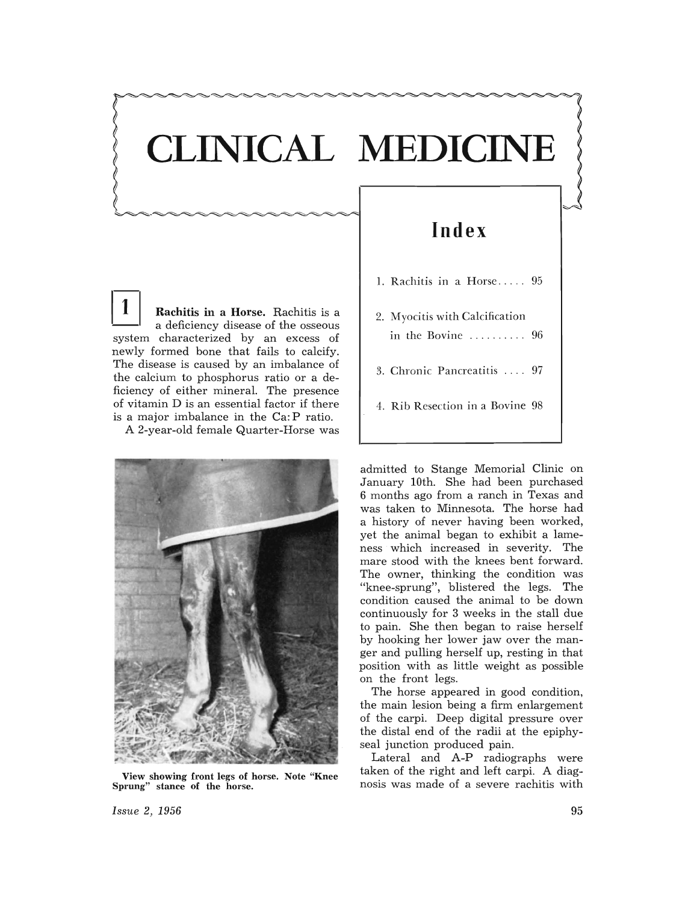## **CLINICAL MEDICINE**

1 Rachitis in a Horse. Rachitis is a a deficiency disease of the osseous system characterized by an excess of newly formed bone that fails to calcify. The disease is caused by an imbalance of the calcium to phosphorus ratio or a deficiency of either mineral. The presence of vitamin D is an essential factor if there is a major imbalance in the Ca: P ratio.

A 2-year-old female Quarter-Horse was



View showing front legs of horse. Note "Knee Sprung" stance of the horse.

## **Index**

- 1. Rachitis in a Horse ..... 95
- 2. M yocitis with Calcification in the Bovine . . . . ..... . 96
- 3. Chronic Pancreatitis ... . 97
- 4. Rib Resection in a Bovine 98

admitted to Stange Memorial Clinic on January 10th. She had been purchased 6 months ago from a ranch in Texas and was taken to Minnesota. The horse had a history of never having been worked, yet the animal began to exhibit a lameness which increased in severity. The mare stood with the knees bent forward. The owner, thinking the condition was "knee-sprung", blistered the legs. The condition caused the animal to be down continuously for 3 weeks in the stall due to pain. She then began to raise herself by hooking her lower jaw over the manger and pulling herself up, resting in that position with as little weight as possible on the front legs.

The horse appeared in good condition, the main lesion being a firm enlargement of the carpi. Deep digital pressure over the distal end of the radii at the epiphyseal junction produced pain.

Lateral and A-P radiographs were taken of the right and left carpi. A diagnosis was made of a severe rachitis with

*Issue* 2, 1956